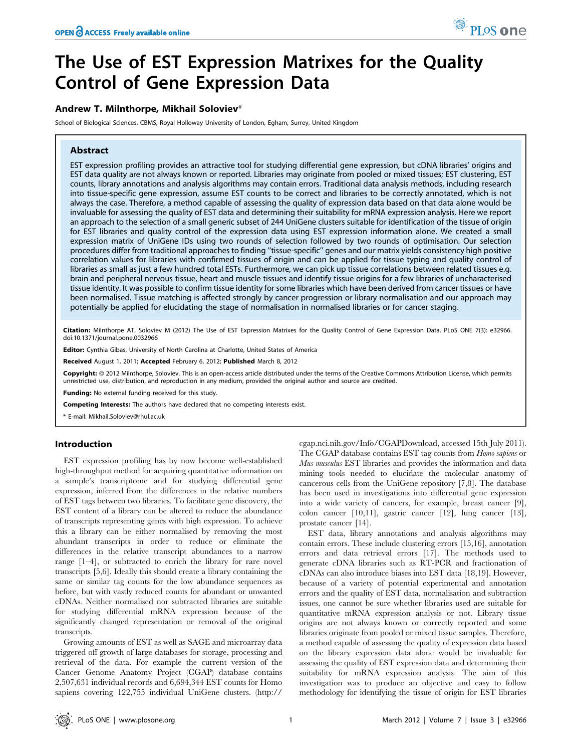# The Use of EST Expression Matrixes for the Quality Control of Gene Expression Data

# Andrew T. Milnthorpe, Mikhail Soloviev\*

School of Biological Sciences, CBMS, Royal Holloway University of London, Egham, Surrey, United Kingdom

# Abstract

EST expression profiling provides an attractive tool for studying differential gene expression, but cDNA libraries' origins and EST data quality are not always known or reported. Libraries may originate from pooled or mixed tissues; EST clustering, EST counts, library annotations and analysis algorithms may contain errors. Traditional data analysis methods, including research into tissue-specific gene expression, assume EST counts to be correct and libraries to be correctly annotated, which is not always the case. Therefore, a method capable of assessing the quality of expression data based on that data alone would be invaluable for assessing the quality of EST data and determining their suitability for mRNA expression analysis. Here we report an approach to the selection of a small generic subset of 244 UniGene clusters suitable for identification of the tissue of origin for EST libraries and quality control of the expression data using EST expression information alone. We created a small expression matrix of UniGene IDs using two rounds of selection followed by two rounds of optimisation. Our selection procedures differ from traditional approaches to finding ''tissue-specific'' genes and our matrix yields consistency high positive correlation values for libraries with confirmed tissues of origin and can be applied for tissue typing and quality control of libraries as small as just a few hundred total ESTs. Furthermore, we can pick up tissue correlations between related tissues e.g. brain and peripheral nervous tissue, heart and muscle tissues and identify tissue origins for a few libraries of uncharacterised tissue identity. It was possible to confirm tissue identity for some libraries which have been derived from cancer tissues or have been normalised. Tissue matching is affected strongly by cancer progression or library normalisation and our approach may potentially be applied for elucidating the stage of normalisation in normalised libraries or for cancer staging.

Citation: Milnthorpe AT, Soloviev M (2012) The Use of EST Expression Matrixes for the Quality Control of Gene Expression Data. PLoS ONE 7(3): e32966. doi:10.1371/journal.pone.0032966

Editor: Cynthia Gibas, University of North Carolina at Charlotte, United States of America

Received August 1, 2011; Accepted February 6, 2012; Published March 8, 2012

Copyright: © 2012 Milnthorpe, Soloviev. This is an open-access article distributed under the terms of the Creative Commons Attribution License, which permits unrestricted use, distribution, and reproduction in any medium, provided the original author and source are credited.

Funding: No external funding received for this study.

Competing Interests: The authors have declared that no competing interests exist.

\* E-mail: Mikhail.Soloviev@rhul.ac.uk

## Introduction

EST expression profiling has by now become well-established high-throughput method for acquiring quantitative information on a sample's transcriptome and for studying differential gene expression, inferred from the differences in the relative numbers of EST tags between two libraries. To facilitate gene discovery, the EST content of a library can be altered to reduce the abundance of transcripts representing genes with high expression. To achieve this a library can be either normalised by removing the most abundant transcripts in order to reduce or eliminate the differences in the relative transcript abundances to a narrow range [1–4], or subtracted to enrich the library for rare novel transcripts [5,6]. Ideally this should create a library containing the same or similar tag counts for the low abundance sequences as before, but with vastly reduced counts for abundant or unwanted cDNAs. Neither normalised nor subtracted libraries are suitable for studying differential mRNA expression because of the significantly changed representation or removal of the original transcripts.

Growing amounts of EST as well as SAGE and microarray data triggered off growth of large databases for storage, processing and retrieval of the data. For example the current version of the Cancer Genome Anatomy Project (CGAP) database contains 2,507,631 individual records and 6,694,344 EST counts for Homo sapiens covering 122,755 individual UniGene clusters. (http://

cgap.nci.nih.gov/Info/CGAPDownload, accessed 15th July 2011). The CGAP database contains EST tag counts from Homo sapiens or Mus musculus EST libraries and provides the information and data mining tools needed to elucidate the molecular anatomy of cancerous cells from the UniGene repository [7,8]. The database has been used in investigations into differential gene expression into a wide variety of cancers, for example, breast cancer [9], colon cancer [10,11], gastric cancer [12], lung cancer [13], prostate cancer [14].

EST data, library annotations and analysis algorithms may contain errors. These include clustering errors [15,16], annotation errors and data retrieval errors [17]. The methods used to generate cDNA libraries such as RT-PCR and fractionation of cDNAs can also introduce biases into EST data [18,19]. However, because of a variety of potential experimental and annotation errors and the quality of EST data, normalisation and subtraction issues, one cannot be sure whether libraries used are suitable for quantitative mRNA expression analysis or not. Library tissue origins are not always known or correctly reported and some libraries originate from pooled or mixed tissue samples. Therefore, a method capable of assessing the quality of expression data based on the library expression data alone would be invaluable for assessing the quality of EST expression data and determining their suitability for mRNA expression analysis. The aim of this investigation was to produce an objective and easy to follow methodology for identifying the tissue of origin for EST libraries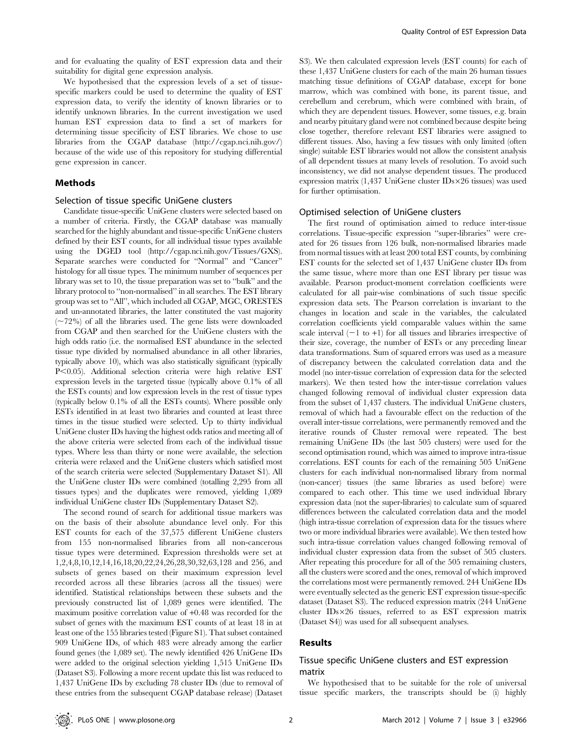and for evaluating the quality of EST expression data and their suitability for digital gene expression analysis.

We hypothesised that the expression levels of a set of tissuespecific markers could be used to determine the quality of EST expression data, to verify the identity of known libraries or to identify unknown libraries. In the current investigation we used human EST expression data to find a set of markers for determining tissue specificity of EST libraries. We chose to use libraries from the CGAP database (http://cgap.nci.nih.gov/) because of the wide use of this repository for studying differential gene expression in cancer.

## Methods

### Selection of tissue specific UniGene clusters

Candidate tissue-specific UniGene clusters were selected based on a number of criteria. Firstly, the CGAP database was manually searched for the highly abundant and tissue-specific UniGene clusters defined by their EST counts, for all individual tissue types available using the DGED tool (http://cgap.nci.nih.gov/Tissues/GXS). Separate searches were conducted for ''Normal'' and ''Cancer'' histology for all tissue types. The minimum number of sequences per library was set to 10, the tissue preparation was set to ''bulk'' and the library protocol to ''non-normalised'' in all searches. The EST library group was set to ''All'', which included all CGAP, MGC, ORESTES and un-annotated libraries, the latter constituted the vast majority  $(\sim 72\%)$  of all the libraries used. The gene lists were downloaded from CGAP and then searched for the UniGene clusters with the high odds ratio (i.e. the normalised EST abundance in the selected tissue type divided by normalised abundance in all other libraries, typically above 10), which was also statistically significant (typically P<0.05). Additional selection criteria were high relative EST expression levels in the targeted tissue (typically above 0.1% of all the ESTs counts) and low expression levels in the rest of tissue types (typically below 0.1% of all the ESTs counts). Where possible only ESTs identified in at least two libraries and counted at least three times in the tissue studied were selected. Up to thirty individual UniGene cluster IDs having the highest odds ratios and meeting all of the above criteria were selected from each of the individual tissue types. Where less than thirty or none were available, the selection criteria were relaxed and the UniGene clusters which satisfied most of the search criteria were selected (Supplementary Dataset S1). All the UniGene cluster IDs were combined (totalling 2,295 from all tissues types) and the duplicates were removed, yielding 1,089 individual UniGene cluster IDs (Supplementary Dataset S2).

The second round of search for additional tissue markers was on the basis of their absolute abundance level only. For this EST counts for each of the 37,575 different UniGene clusters from 155 non-normalised libraries from all non-cancerous tissue types were determined. Expression thresholds were set at 1,2,4,8,10,12,14,16,18,20,22,24,26,28,30,32,63,128 and 256, and subsets of genes based on their maximum expression level recorded across all these libraries (across all the tissues) were identified. Statistical relationships between these subsets and the previously constructed list of 1,089 genes were identified. The maximum positive correlation value of +0.48 was recorded for the subset of genes with the maximum EST counts of at least 18 in at least one of the 155 libraries tested (Figure S1). That subset contained 909 UniGene IDs, of which 483 were already among the earlier found genes (the 1,089 set). The newly identified 426 UniGene IDs were added to the original selection yielding 1,515 UniGene IDs (Dataset S3). Following a more recent update this list was reduced to 1,437 UniGene IDs by excluding 78 cluster IDs (due to removal of these entries from the subsequent CGAP database release) (Dataset

S3). We then calculated expression levels (EST counts) for each of these 1,437 UniGene clusters for each of the main 26 human tissues matching tissue definitions of CGAP database, except for bone marrow, which was combined with bone, its parent tissue, and cerebellum and cerebrum, which were combined with brain, of which they are dependent tissues. However, some tissues, e.g. brain and nearby pituitary gland were not combined because despite being close together, therefore relevant EST libraries were assigned to different tissues. Also, having a few tissues with only limited (often single) suitable EST libraries would not allow the consistent analysis of all dependent tissues at many levels of resolution. To avoid such inconsistency, we did not analyse dependent tissues. The produced expression matrix (1,437 UniGene cluster IDs $\times$ 26 tissues) was used for further optimisation.

#### Optimised selection of UniGene clusters

The first round of optimisation aimed to reduce inter-tissue correlations. Tissue-specific expression ''super-libraries'' were created for 26 tissues from 126 bulk, non-normalised libraries made from normal tissues with at least 200 total EST counts, by combining EST counts for the selected set of 1,437 UniGene cluster IDs from the same tissue, where more than one EST library per tissue was available. Pearson product-moment correlation coefficients were calculated for all pair-wise combinations of such tissue specific expression data sets. The Pearson correlation is invariant to the changes in location and scale in the variables, the calculated correlation coefficients yield comparable values within the same scale interval  $(-1$  to  $+1)$  for all tissues and libraries irrespective of their size, coverage, the number of ESTs or any preceding linear data transformations. Sum of squared errors was used as a measure of discrepancy between the calculated correlation data and the model (no inter-tissue correlation of expression data for the selected markers). We then tested how the inter-tissue correlation values changed following removal of individual cluster expression data from the subset of 1,437 clusters. The individual UniGene clusters, removal of which had a favourable effect on the reduction of the overall inter-tissue correlations, were permanently removed and the iterative rounds of Cluster removal were repeated. The best remaining UniGene IDs (the last 505 clusters) were used for the second optimisation round, which was aimed to improve intra-tissue correlations. EST counts for each of the remaining 505 UniGene clusters for each individual non-normalised library from normal (non-cancer) tissues (the same libraries as used before) were compared to each other. This time we used individual library expression data (not the super-libraries) to calculate sum of squared differences between the calculated correlation data and the model (high intra-tissue correlation of expression data for the tissues where two or more individual libraries were available). We then tested how such intra-tissue correlation values changed following removal of individual cluster expression data from the subset of 505 clusters. After repeating this procedure for all of the 505 remaining clusters, all the clusters were scored and the ones, removal of which improved the correlations most were permanently removed. 244 UniGene IDs were eventually selected as the generic EST expression tissue-specific dataset (Dataset S3). The reduced expression matrix (244 UniGene cluster  $IDs \times 26$  tissues, referred to as EST expression matrix (Dataset S4)) was used for all subsequent analyses.

#### Results

# Tissue specific UniGene clusters and EST expression matrix

We hypothesised that to be suitable for the role of universal tissue specific markers, the transcripts should be (i) highly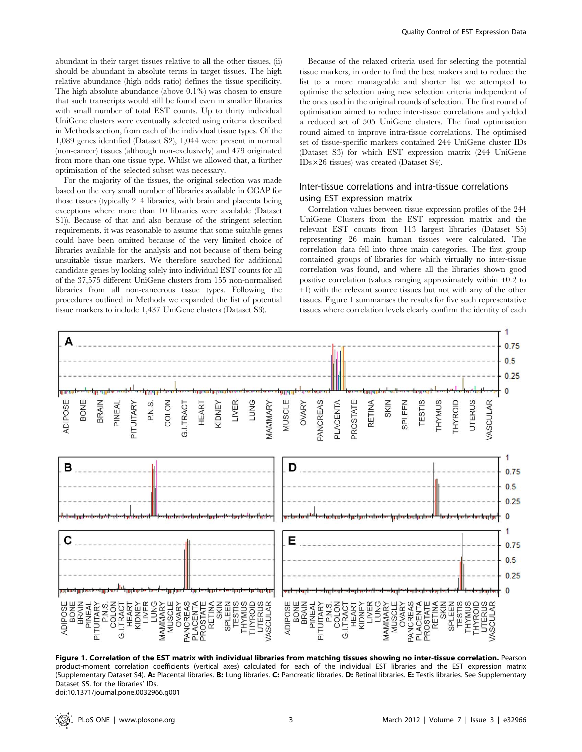abundant in their target tissues relative to all the other tissues, (ii) should be abundant in absolute terms in target tissues. The high relative abundance (high odds ratio) defines the tissue specificity. The high absolute abundance (above 0.1%) was chosen to ensure that such transcripts would still be found even in smaller libraries with small number of total EST counts. Up to thirty individual UniGene clusters were eventually selected using criteria described in Methods section, from each of the individual tissue types. Of the 1,089 genes identified (Dataset S2), 1,044 were present in normal (non-cancer) tissues (although non-exclusively) and 479 originated from more than one tissue type. Whilst we allowed that, a further optimisation of the selected subset was necessary.

For the majority of the tissues, the original selection was made based on the very small number of libraries available in CGAP for those tissues (typically 2–4 libraries, with brain and placenta being exceptions where more than 10 libraries were available (Dataset S1)). Because of that and also because of the stringent selection requirements, it was reasonable to assume that some suitable genes could have been omitted because of the very limited choice of libraries available for the analysis and not because of them being unsuitable tissue markers. We therefore searched for additional candidate genes by looking solely into individual EST counts for all of the 37,575 different UniGene clusters from 155 non-normalised libraries from all non-cancerous tissue types. Following the procedures outlined in Methods we expanded the list of potential tissue markers to include 1,437 UniGene clusters (Dataset S3).

Because of the relaxed criteria used for selecting the potential tissue markers, in order to find the best makers and to reduce the list to a more manageable and shorter list we attempted to optimise the selection using new selection criteria independent of the ones used in the original rounds of selection. The first round of optimisation aimed to reduce inter-tissue correlations and yielded a reduced set of 505 UniGene clusters. The final optimisation round aimed to improve intra-tissue correlations. The optimised set of tissue-specific markers contained 244 UniGene cluster IDs (Dataset S3) for which EST expression matrix (244 UniGene  $IDs \times 26$  tissues) was created (Dataset S4).

# Inter-tissue correlations and intra-tissue correlations using EST expression matrix

Correlation values between tissue expression profiles of the 244 UniGene Clusters from the EST expression matrix and the relevant EST counts from 113 largest libraries (Dataset S5) representing 26 main human tissues were calculated. The correlation data fell into three main categories. The first group contained groups of libraries for which virtually no inter-tissue correlation was found, and where all the libraries shown good positive correlation (values ranging approximately within +0.2 to +1) with the relevant source tissues but not with any of the other tissues. Figure 1 summarises the results for five such representative tissues where correlation levels clearly confirm the identity of each



Figure 1. Correlation of the EST matrix with individual libraries from matching tissues showing no inter-tissue correlation. Pearson product-moment correlation coefficients (vertical axes) calculated for each of the individual EST libraries and the EST expression matrix (Supplementary Dataset S4). A: Placental libraries. B: Lung libraries. C: Pancreatic libraries. D: Retinal libraries. E: Testis libraries. See Supplementary Dataset S5. for the libraries' IDs.

doi:10.1371/journal.pone.0032966.g001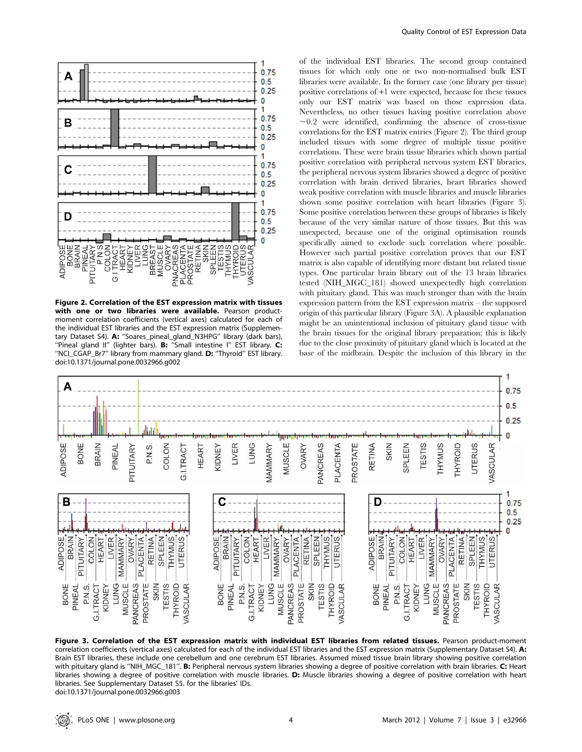

Figure 2. Correlation of the EST expression matrix with tissues with one or two libraries were available. Pearson productmoment correlation coefficients (vertical axes) calculated for each of the individual EST libraries and the EST expression matrix (Supplementary Dataset S4). A: ''Soares\_pineal\_gland\_N3HPG'' library (dark bars), "Pineal gland II" (lighter bars). B: "Small intestine I" EST library. C: ''NCI\_CGAP\_Br7'' library from mammary gland. D: ''Thyroid'' EST library. doi:10.1371/journal.pone.0032966.g002

of the individual EST libraries. The second group contained tissues for which only one or two non-normalised bulk EST libraries were available. In the former case (one library per tissue) positive correlations of +1 were expected, because for these tissues only our EST matrix was based on those expression data. Nevertheless, no other tissues having positive correlation above  $\sim$ 0.2 were identified, confirming the absence of cross-tissue correlations for the EST matrix entries (Figure 2). The third group included tissues with some degree of multiple tissue positive correlations. These were brain tissue libraries which shown partial positive correlation with peripheral nervous system EST libraries, the peripheral nervous system libraries showed a degree of positive correlation with brain derived libraries, heart libraries showed weak positive correlation with muscle libraries and muscle libraries shown some positive correlation with heart libraries (Figure 3). Some positive correlation between these groups of libraries is likely because of the very similar nature of those tissues. But this was unexpected, because one of the original optimisation rounds specifically aimed to exclude such correlation where possible. However such partial positive correlation proves that our EST matrix is also capable of identifying more distant but related tissue types. One particular brain library out of the 13 brain libraries tested (NIH\_MGC\_181) showed unexpectedly high correlation with pituitary gland. This was much stronger than with the brain expression pattern from the EST expression matrix – the supposed origin of this particular library (Figure 3A). A plausible explanation might be an unintentional inclusion of pituitary gland tissue with the brain tissues for the original library preparation; this is likely due to the close proximity of pituitary gland which is located at the base of the midbrain. Despite the inclusion of this library in the



Figure 3. Correlation of the EST expression matrix with individual EST libraries from related tissues. Pearson product-moment correlation coefficients (vertical axes) calculated for each of the individual EST libraries and the EST expression matrix (Supplementary Dataset S4). A: Brain EST libraries, these include one cerebellum and one cerebrum EST libraries. Assumed mixed tissue brain library showing positive correlation with pituitary gland is "NIH\_MGC\_181". B: Peripheral nervous system libraries showing a degree of positive correlation with brain libraries. C: Heart libraries showing a degree of positive correlation with muscle libraries. D: Muscle libraries showing a degree of positive correlation with heart libraries. See Supplementary Dataset S5. for the libraries' IDs. doi:10.1371/journal.pone.0032966.g003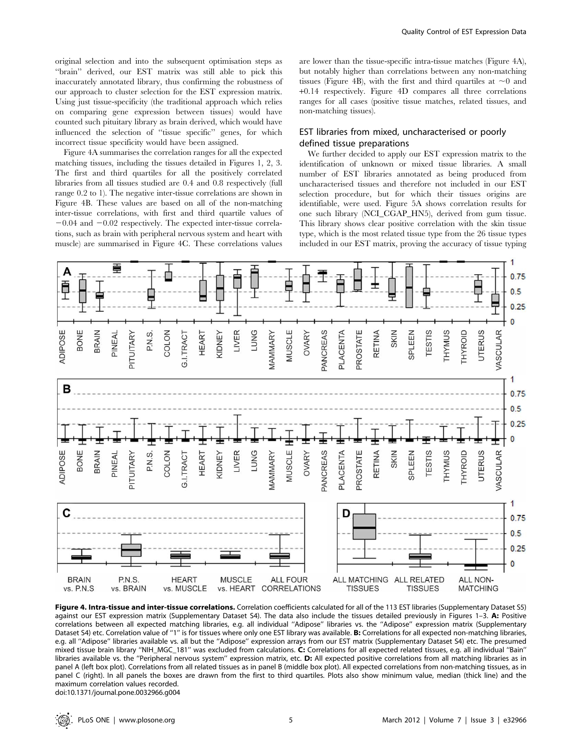original selection and into the subsequent optimisation steps as ''brain'' derived, our EST matrix was still able to pick this inaccurately annotated library, thus confirming the robustness of our approach to cluster selection for the EST expression matrix. Using just tissue-specificity (the traditional approach which relies on comparing gene expression between tissues) would have counted such pituitary library as brain derived, which would have influenced the selection of ''tissue specific'' genes, for which incorrect tissue specificity would have been assigned.

Figure 4A summarises the correlation ranges for all the expected matching tissues, including the tissues detailed in Figures 1, 2, 3. The first and third quartiles for all the positively correlated libraries from all tissues studied are 0.4 and 0.8 respectively (full range 0.2 to 1). The negative inter-tissue correlations are shown in Figure 4B. These values are based on all of the non-matching inter-tissue correlations, with first and third quartile values of  $-0.04$  and  $-0.02$  respectively. The expected inter-tissue correlations, such as brain with peripheral nervous system and heart with muscle) are summarised in Figure 4C. These correlations values

are lower than the tissue-specific intra-tissue matches (Figure 4A), but notably higher than correlations between any non-matching tissues (Figure 4B), with the first and third quartiles at  $\sim$ 0 and +0.14 respectively. Figure 4D compares all three correlations ranges for all cases (positive tissue matches, related tissues, and non-matching tissues).

# EST libraries from mixed, uncharacterised or poorly defined tissue preparations

We further decided to apply our EST expression matrix to the identification of unknown or mixed tissue libraries. A small number of EST libraries annotated as being produced from uncharacterised tissues and therefore not included in our EST selection procedure, but for which their tissues origins are identifiable, were used. Figure 5A shows correlation results for one such library (NCI\_CGAP\_HN5), derived from gum tissue. This library shows clear positive correlation with the skin tissue type, which is the most related tissue type from the 26 tissue types included in our EST matrix, proving the accuracy of tissue typing



Figure 4. Intra-tissue and inter-tissue correlations. Correlation coefficients calculated for all of the 113 EST libraries (Supplementary Dataset S5) against our EST expression matrix (Supplementary Dataset S4). The data also include the tissues detailed previously in Figures 1-3. A: Positive correlations between all expected matching libraries, e.g. all individual ''Adipose'' libraries vs. the ''Adipose'' expression matrix (Supplementary Dataset S4) etc. Correlation value of "1" is for tissues where only one EST library was available. B: Correlations for all expected non-matching libraries, e.g. all ''Adipose'' libraries available vs. all but the ''Adipose'' expression arrays from our EST matrix (Supplementary Dataset S4) etc. The presumed mixed tissue brain library "NIH\_MGC\_181" was excluded from calculations. C: Correlations for all expected related tissues, e.g. all individual "Bain" libraries available vs. the "Peripheral nervous system" expression matrix, etc. D: All expected positive correlations from all matching libraries as in panel A (left box plot). Correlations from all related tissues as in panel B (middle box plot). All expected correlations from non-matching tissues, as in panel C (right). In all panels the boxes are drawn from the first to third quartiles. Plots also show minimum value, median (thick line) and the maximum correlation values recorded. doi:10.1371/journal.pone.0032966.g004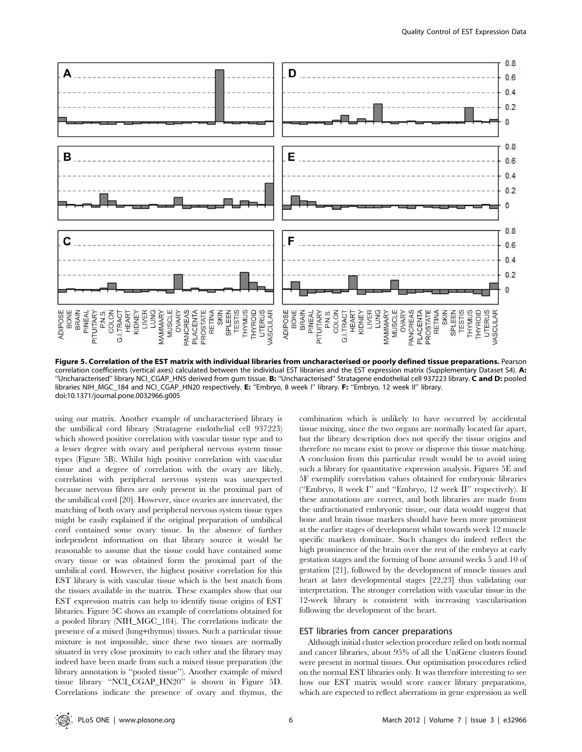

Figure 5. Correlation of the EST matrix with individual libraries from uncharacterised or poorly defined tissue preparations. Pearson correlation coefficients (vertical axes) calculated between the individual EST libraries and the EST expression matrix (Supplementary Dataset S4). A: "Uncharacterised" library NCI\_CGAP\_HN5 derived from gum tissue. B: "Uncharacterised" Stratagene endothelial cell 937223 library. C and D: pooled libraries NIH\_MGC\_184 and NCI\_CGAP\_HN20 respectively. E: "Embryo, 8 week I" library. F: "Embryo, 12 week II" library. doi:10.1371/journal.pone.0032966.g005

using our matrix. Another example of uncharacterised library is the umbilical cord library (Stratagene endothelial cell 937223) which showed positive correlation with vascular tissue type and to a lesser degree with ovary and peripheral nervous system tissue types (Figure 5B). Whilst high positive correlation with vascular tissue and a degree of correlation with the ovary are likely, correlation with peripheral nervous system was unexpected because nervous fibres are only present in the proximal part of the umbilical cord [20]. However, since ovaries are innervated, the matching of both ovary and peripheral nervous system tissue types might be easily explained if the original preparation of umbilical cord contained some ovary tissue. In the absence of further independent information on that library source it would be reasonable to assume that the tissue could have contained some ovary tissue or was obtained form the proximal part of the umbilical cord. However, the highest positive correlation for this EST library is with vascular tissue which is the best match from the tissues available in the matrix. These examples show that our EST expression matrix can help to identify tissue origins of EST libraries. Figure 5C shows an example of correlations obtained for a pooled library (NIH\_MGC\_184). The correlations indicate the presence of a mixed (lung+thymus) tissues. Such a particular tissue mixture is not impossible, since these two tissues are normally situated in very close proximity to each other and the library may indeed have been made from such a mixed tissue preparation (the library annotation is ''pooled tissue''). Another example of mixed tissue library ''NCI\_CGAP\_HN20'' is shown in Figure 5D. Correlations indicate the presence of ovary and thymus, the

combination which is unlikely to have occurred by accidental tissue mixing, since the two organs are normally located far apart, but the library description does not specify the tissue origins and therefore no means exist to prove or disprove this tissue matching. A conclusion from this particular result would be to avoid using such a library for quantitative expression analysis. Figures 5E and 5F exemplify correlation values obtained for embryonic libraries (''Embryo, 8 week I'' and ''Embryo, 12 week II'' respectively). If these annotations are correct, and both libraries are made from the unfractionated embryonic tissue, our data would suggest that bone and brain tissue markers should have been more prominent at the earlier stages of development whilst towards week 12 muscle specific markers dominate. Such changes do indeed reflect the high prominence of the brain over the rest of the embryo at early gestation stages and the forming of bone around weeks 5 and 10 of gestation [21], followed by the development of muscle tissues and heart at later developmental stages [22,23] thus validating our interpretation. The stronger correlation with vascular tissue in the 12-week library is consistent with increasing vascularisation following the development of the heart.

# EST libraries from cancer preparations

Although initial cluster selection procedure relied on both normal and cancer libraries, about 95% of all the UniGene clusters found were present in normal tissues. Our optimisation procedures relied on the normal EST libraries only. It was therefore interesting to see how our EST matrix would score cancer library preparations, which are expected to reflect aberrations in gene expression as well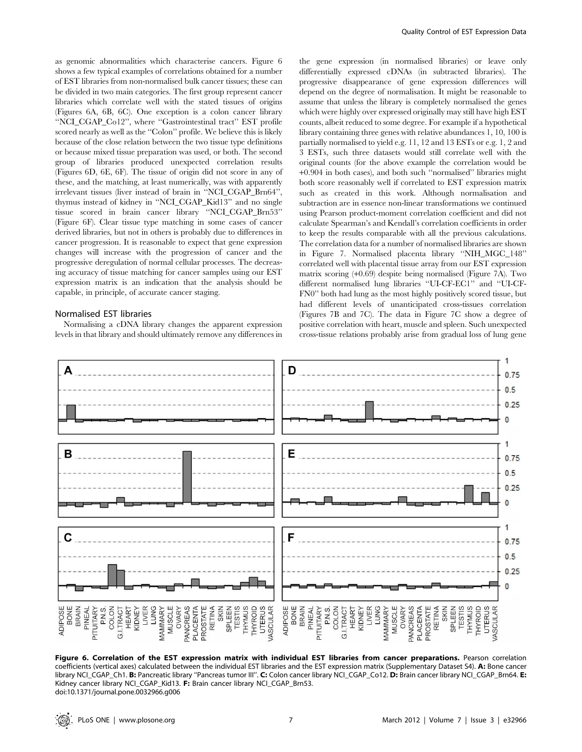as genomic abnormalities which characterise cancers. Figure 6 shows a few typical examples of correlations obtained for a number of EST libraries from non-normalised bulk cancer tissues; these can be divided in two main categories. The first group represent cancer libraries which correlate well with the stated tissues of origins (Figures 6A, 6B, 6C). One exception is a colon cancer library ''NCI\_CGAP\_Co12'', where ''Gastrointestinal tract'' EST profile scored nearly as well as the ''Colon'' profile. We believe this is likely because of the close relation between the two tissue type definitions or because mixed tissue preparation was used, or both. The second group of libraries produced unexpected correlation results (Figures 6D, 6E, 6F). The tissue of origin did not score in any of these, and the matching, at least numerically, was with apparently irrelevant tissues (liver instead of brain in ''NCI\_CGAP\_Brn64'', thymus instead of kidney in ''NCI\_CGAP\_Kid13'' and no single tissue scored in brain cancer library ''NCI\_CGAP\_Brn53'' (Figure 6F). Clear tissue type matching in some cases of cancer derived libraries, but not in others is probably due to differences in cancer progression. It is reasonable to expect that gene expression changes will increase with the progression of cancer and the progressive deregulation of normal cellular processes. The decreasing accuracy of tissue matching for cancer samples using our EST expression matrix is an indication that the analysis should be capable, in principle, of accurate cancer staging.

#### Normalised EST libraries

Normalising a cDNA library changes the apparent expression levels in that library and should ultimately remove any differences in the gene expression (in normalised libraries) or leave only differentially expressed cDNAs (in subtracted libraries). The progressive disappearance of gene expression differences will depend on the degree of normalisation. It might be reasonable to assume that unless the library is completely normalised the genes which were highly over expressed originally may still have high EST counts, albeit reduced to some degree. For example if a hypothetical library containing three genes with relative abundances 1, 10, 100 is partially normalised to yield e.g. 11, 12 and 13 ESTs or e.g. 1, 2 and 3 ESTs, such three datasets would still correlate well with the original counts (for the above example the correlation would be +0.904 in both cases), and both such ''normalised'' libraries might both score reasonably well if correlated to EST expression matrix such as created in this work. Although normalisation and subtraction are in essence non-linear transformations we continued using Pearson product-moment correlation coefficient and did not calculate Spearman's and Kendall's correlation coefficients in order to keep the results comparable with all the previous calculations. The correlation data for a number of normalised libraries are shown in Figure 7. Normalised placenta library ''NIH\_MGC\_148'' correlated well with placental tissue array from our EST expression matrix scoring (+0.69) despite being normalised (Figure 7A). Two different normalised lung libraries ''UI-CF-EC1'' and ''UI-CF-FN0'' both had lung as the most highly positively scored tissue, but had different levels of unanticipated cross-tissues correlation (Figures 7B and 7C). The data in Figure 7C show a degree of positive correlation with heart, muscle and spleen. Such unexpected cross-tissue relations probably arise from gradual loss of lung gene



Figure 6. Correlation of the EST expression matrix with individual EST libraries from cancer preparations. Pearson correlation coefficients (vertical axes) calculated between the individual EST libraries and the EST expression matrix (Supplementary Dataset S4). A: Bone cancer library NCI\_CGAP\_Ch1. B: Pancreatic library "Pancreas tumor III". C: Colon cancer library NCI\_CGAP\_Co12. D: Brain cancer library NCI\_CGAP\_Brn64. E: Kidney cancer library NCI\_CGAP\_Kid13. F: Brain cancer library NCI\_CGAP\_Brn53. doi:10.1371/journal.pone.0032966.g006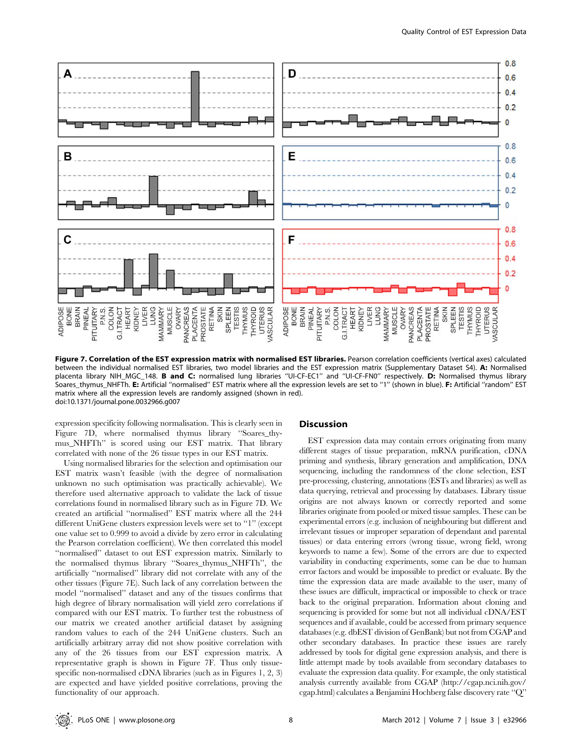

Figure 7. Correlation of the EST expression matrix with normalised EST libraries. Pearson correlation coefficients (vertical axes) calculated between the individual normalised EST libraries, two model libraries and the EST expression matrix (Supplementary Dataset S4). A: Normalised placenta library NIH\_MGC\_148. **B and C:** normalised lung libraries "UI-CF-EC1" and "UI-CF-FN0" respectively. D: Normalised thymus library Soares\_thymus\_NHFTh. E: Artificial "normalised" EST matrix where all the expression levels are set to "1" (shown in blue). F: Artificial "random" EST matrix where all the expression levels are randomly assigned (shown in red). doi:10.1371/journal.pone.0032966.g007

expression specificity following normalisation. This is clearly seen in Figure 7D, where normalised thymus library "Soares\_thymus\_NHFTh'' is scored using our EST matrix. That library correlated with none of the 26 tissue types in our EST matrix.

Using normalised libraries for the selection and optimisation our EST matrix wasn't feasible (with the degree of normalisation unknown no such optimisation was practically achievable). We therefore used alternative approach to validate the lack of tissue correlations found in normalised library such as in Figure 7D. We created an artificial ''normalised'' EST matrix where all the 244 different UniGene clusters expression levels were set to "1" (except one value set to 0.999 to avoid a divide by zero error in calculating the Pearson correlation coefficient). We then correlated this model ''normalised'' dataset to out EST expression matrix. Similarly to the normalised thymus library ''Soares\_thymus\_NHFTh'', the artificially ''normalised'' library did not correlate with any of the other tissues (Figure 7E). Such lack of any correlation between the model ''normalised'' dataset and any of the tissues confirms that high degree of library normalisation will yield zero correlations if compared with our EST matrix. To further test the robustness of our matrix we created another artificial dataset by assigning random values to each of the 244 UniGene clusters. Such an artificially arbitrary array did not show positive correlation with any of the 26 tissues from our EST expression matrix. A representative graph is shown in Figure 7F. Thus only tissuespecific non-normalised cDNA libraries (such as in Figures 1, 2, 3) are expected and have yielded positive correlations, proving the functionality of our approach.

# **Discussion**

EST expression data may contain errors originating from many different stages of tissue preparation, mRNA purification, cDNA priming and synthesis, library generation and amplification, DNA sequencing, including the randomness of the clone selection, EST pre-processing, clustering, annotations (ESTs and libraries) as well as data querying, retrieval and processing by databases. Library tissue origins are not always known or correctly reported and some libraries originate from pooled or mixed tissue samples. These can be experimental errors (e.g. inclusion of neighbouring but different and irrelevant tissues or improper separation of dependant and parental tissues) or data entering errors (wrong tissue, wrong field, wrong keywords to name a few). Some of the errors are due to expected variability in conducting experiments, some can be due to human error factors and would be impossible to predict or evaluate. By the time the expression data are made available to the user, many of these issues are difficult, impractical or impossible to check or trace back to the original preparation. Information about cloning and sequencing is provided for some but not all individual cDNA/EST sequences and if available, could be accessed from primary sequence databases (e.g. dbEST division of GenBank) but not from CGAP and other secondary databases. In practice these issues are rarely addressed by tools for digital gene expression analysis, and there is little attempt made by tools available from secondary databases to evaluate the expression data quality. For example, the only statistical analysis currently available from CGAP (http://cgap.nci.nih.gov/ cgap.html) calculates a Benjamini Hochberg false discovery rate ''Q''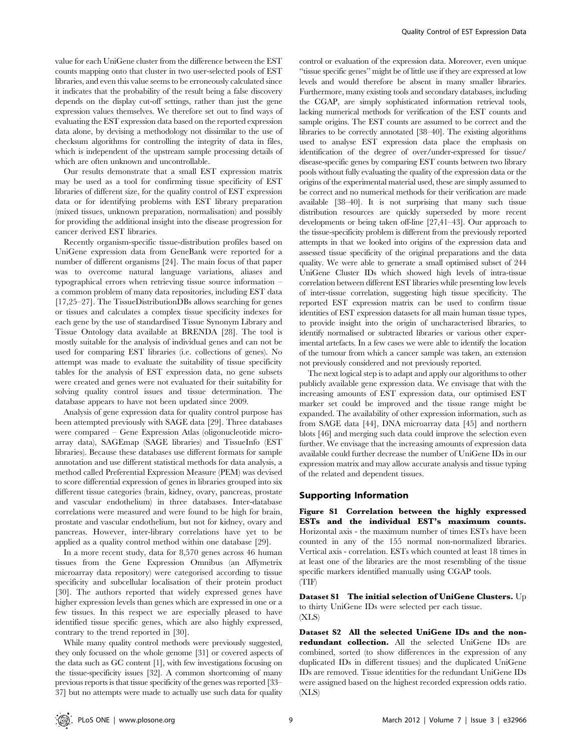value for each UniGene cluster from the difference between the EST counts mapping onto that cluster in two user-selected pools of EST libraries, and even this value seems to be erroneously calculated since it indicates that the probability of the result being a false discovery depends on the display cut-off settings, rather than just the gene expression values themselves. We therefore set out to find ways of evaluating the EST expression data based on the reported expression data alone, by devising a methodology not dissimilar to the use of checksum algorithms for controlling the integrity of data in files, which is independent of the upstream sample processing details of which are often unknown and uncontrollable.

Our results demonstrate that a small EST expression matrix may be used as a tool for confirming tissue specificity of EST libraries of different size, for the quality control of EST expression data or for identifying problems with EST library preparation (mixed tissues, unknown preparation, normalisation) and possibly for providing the additional insight into the disease progression for cancer derived EST libraries.

Recently organism-specific tissue-distribution profiles based on UniGene expression data from GeneBank were reported for a number of different organisms [24]. The main focus of that paper was to overcome natural language variations, aliases and typographical errors when retrieving tissue source information – a common problem of many data repositories, including EST data [17,25–27]. The TissueDistributionDBs allows searching for genes or tissues and calculates a complex tissue specificity indexes for each gene by the use of standardised Tissue Synonym Library and Tissue Ontology data available at BRENDA [28]. The tool is mostly suitable for the analysis of individual genes and can not be used for comparing EST libraries (i.e. collections of genes). No attempt was made to evaluate the suitability of tissue specificity tables for the analysis of EST expression data, no gene subsets were created and genes were not evaluated for their suitability for solving quality control issues and tissue determination. The database appears to have not been updated since 2009.

Analysis of gene expression data for quality control purpose has been attempted previously with SAGE data [29]. Three databases were compared – Gene Expression Atlas (oligonucleotide microarray data), SAGEmap (SAGE libraries) and TissueInfo (EST libraries). Because these databases use different formats for sample annotation and use different statistical methods for data analysis, a method called Preferential Expression Measure (PEM) was devised to score differential expression of genes in libraries grouped into six different tissue categories (brain, kidney, ovary, pancreas, prostate and vascular endothelium) in three databases. Inter-database correlations were measured and were found to be high for brain, prostate and vascular endothelium, but not for kidney, ovary and pancreas. However, inter-library correlations have yet to be applied as a quality control method within one database [29].

In a more recent study, data for 8,570 genes across 46 human tissues from the Gene Expression Omnibus (an Affymetrix microarray data repository) were categorised according to tissue specificity and subcellular localisation of their protein product [30]. The authors reported that widely expressed genes have higher expression levels than genes which are expressed in one or a few tissues. In this respect we are especially pleased to have identified tissue specific genes, which are also highly expressed, contrary to the trend reported in [30].

While many quality control methods were previously suggested, they only focussed on the whole genome [31] or covered aspects of the data such as GC content [1], with few investigations focusing on the tissue-specificity issues [32]. A common shortcoming of many previous reports is that tissue specificity of the genes was reported [33– 37] but no attempts were made to actually use such data for quality

control or evaluation of the expression data. Moreover, even unique ''tissue specific genes'' might be of little use if they are expressed at low levels and would therefore be absent in many smaller libraries. Furthermore, many existing tools and secondary databases, including the CGAP, are simply sophisticated information retrieval tools, lacking numerical methods for verification of the EST counts and sample origins. The EST counts are assumed to be correct and the libraries to be correctly annotated [38–40]. The existing algorithms used to analyse EST expression data place the emphasis on identification of the degree of over/under-expressed for tissue/ disease-specific genes by comparing EST counts between two library pools without fully evaluating the quality of the expression data or the origins of the experimental material used, these are simply assumed to be correct and no numerical methods for their verification are made available [38–40]. It is not surprising that many such tissue distribution resources are quickly superseded by more recent developments or being taken off-line [27,41–43]. Our approach to the tissue-specificity problem is different from the previously reported attempts in that we looked into origins of the expression data and assessed tissue specificity of the original preparations and the data quality. We were able to generate a small optimised subset of 244 UniGene Cluster IDs which showed high levels of intra-tissue correlation between different EST libraries while presenting low levels of inter-tissue correlation, suggesting high tissue specificity. The reported EST expression matrix can be used to confirm tissue identities of EST expression datasets for all main human tissue types, to provide insight into the origin of uncharacterised libraries, to identify normalised or subtracted libraries or various other experimental artefacts. In a few cases we were able to identify the location of the tumour from which a cancer sample was taken, an extension not previously considered and not previously reported.

The next logical step is to adapt and apply our algorithms to other publicly available gene expression data. We envisage that with the increasing amounts of EST expression data, our optimised EST marker set could be improved and the tissue range might be expanded. The availability of other expression information, such as from SAGE data [44], DNA microarray data [45] and northern blots [46] and merging such data could improve the selection even further. We envisage that the increasing amounts of expression data available could further decrease the number of UniGene IDs in our expression matrix and may allow accurate analysis and tissue typing of the related and dependent tissues.

#### Supporting Information

Figure S1 Correlation between the highly expressed ESTs and the individual EST's maximum counts. Horizontal axis - the maximum number of times ESTs have been counted in any of the 155 normal non-normalized libraries. Vertical axis - correlation. ESTs which counted at least 18 times in at least one of the libraries are the most resembling of the tissue specific markers identified manually using CGAP tools. (TIF)

Dataset S1 The initial selection of UniGene Clusters. Up to thirty UniGene IDs were selected per each tissue. (XLS)

Dataset S2 All the selected UniGene IDs and the nonredundant collection. All the selected UniGene IDs are combined, sorted (to show differences in the expression of any duplicated IDs in different tissues) and the duplicated UniGene IDs are removed. Tissue identities for the redundant UniGene IDs were assigned based on the highest recorded expression odds ratio. (XLS)